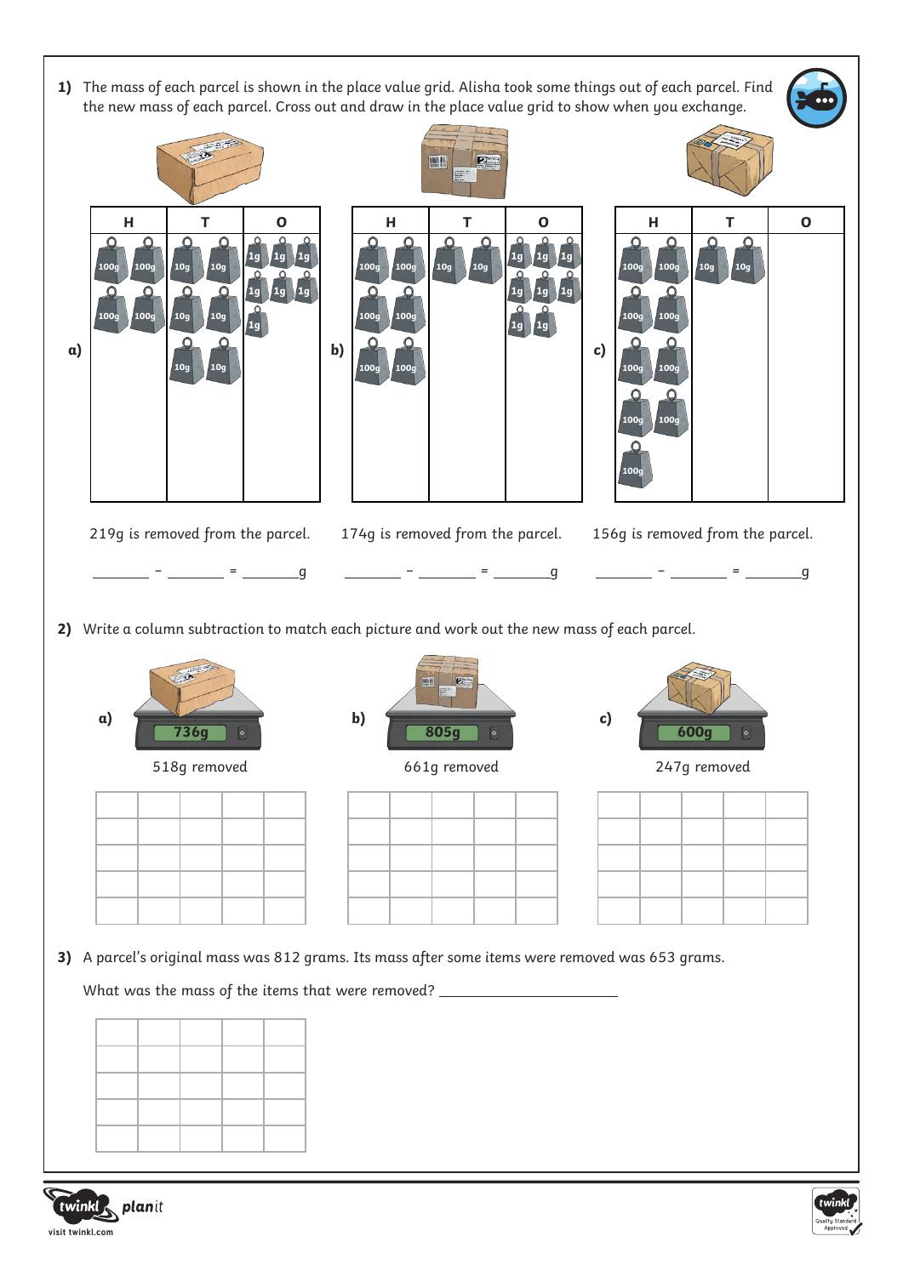





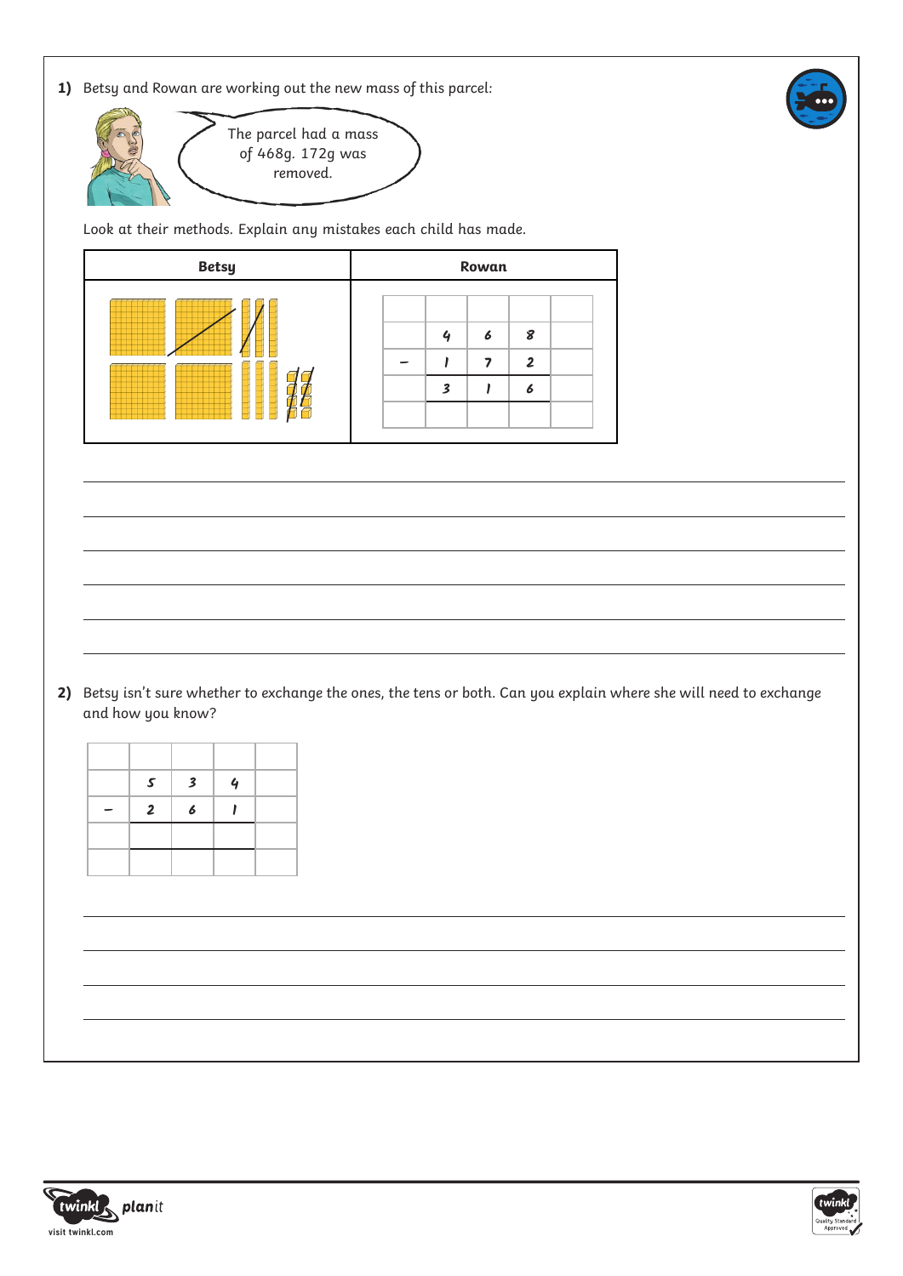



Look at their methods. Explain any mistakes each child has made.

| <b>Betsy</b> | Rowan            |  |  |  |  |
|--------------|------------------|--|--|--|--|
|              | 8<br>6<br>າ<br>Đ |  |  |  |  |

2) Betsy isn't sure whether to exchange the ones, the tens or both. Can you explain where she will need to exchange and how you know?

| $\mathcal{S}$  | $\overline{\mathbf{3}}$ | $\mathbf 4$ |  |
|----------------|-------------------------|-------------|--|
| $\overline{2}$ | 6                       |             |  |
|                |                         |             |  |
|                |                         |             |  |